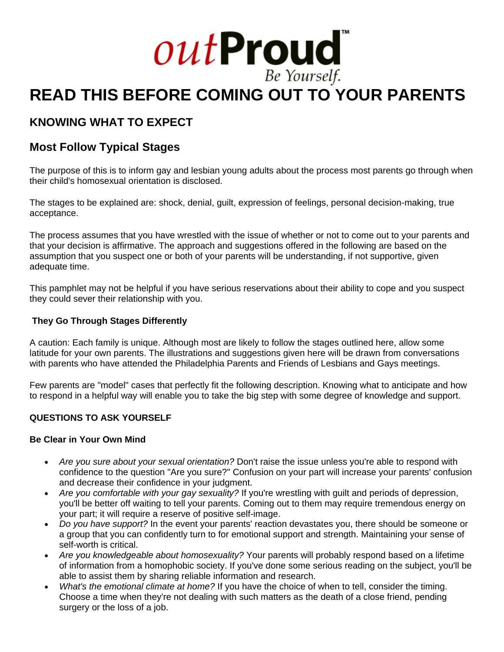

# **READ THIS BEFORE COMING OUT TO YOUR PARENTS**

# **KNOWING WHAT TO EXPECT**

# **Most Follow Typical Stages**

The purpose of this is to inform gay and lesbian young adults about the process most parents go through when their child's homosexual orientation is disclosed.

The stages to be explained are: shock, denial, guilt, expression of feelings, personal decision-making, true acceptance.

The process assumes that you have wrestled with the issue of whether or not to come out to your parents and that your decision is affirmative. The approach and suggestions offered in the following are based on the assumption that you suspect one or both of your parents will be understanding, if not supportive, given adequate time.

This pamphlet may not be helpful if you have serious reservations about their ability to cope and you suspect they could sever their relationship with you.

# **They Go Through Stages Differently**

A caution: Each family is unique. Although most are likely to follow the stages outlined here, allow some latitude for your own parents. The illustrations and suggestions given here will be drawn from conversations with parents who have attended the Philadelphia Parents and Friends of Lesbians and Gays meetings.

Few parents are "model" cases that perfectly fit the following description. Knowing what to anticipate and how to respond in a helpful way will enable you to take the big step with some degree of knowledge and support.

# **QUESTIONS TO ASK YOURSELF**

## **Be Clear in Your Own Mind**

- *Are you sure about your sexual orientation?* Don't raise the issue unless you're able to respond with confidence to the question "Are you sure?" Confusion on your part will increase your parents' confusion and decrease their confidence in your judgment.
- *Are you comfortable with your gay sexuality?* If you're wrestling with guilt and periods of depression, you'll be better off waiting to tell your parents. Coming out to them may require tremendous energy on your part; it will require a reserve of positive self-image.
- *Do you have support?* In the event your parents' reaction devastates you, there should be someone or a group that you can confidently turn to for emotional support and strength. Maintaining your sense of self-worth is critical.
- *Are you knowledgeable about homosexuality?* Your parents will probably respond based on a lifetime of information from a homophobic society. If you've done some serious reading on the subject, you'll be able to assist them by sharing reliable information and research.
- *What's the emotional climate at home?* If you have the choice of when to tell, consider the timing. Choose a time when they're not dealing with such matters as the death of a close friend, pending surgery or the loss of a job.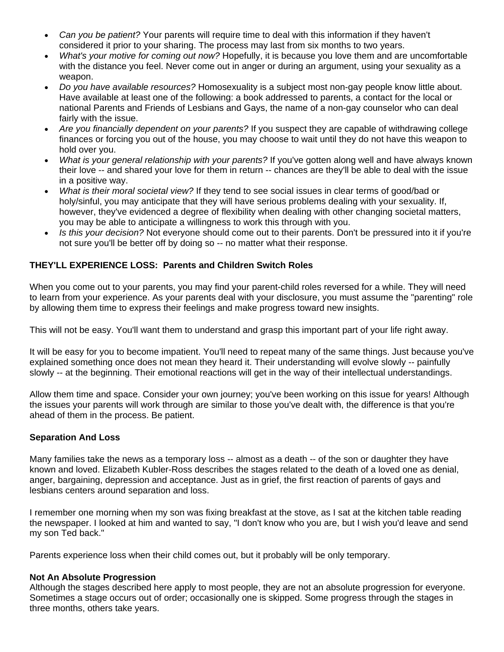- *Can you be patient?* Your parents will require time to deal with this information if they haven't considered it prior to your sharing. The process may last from six months to two years.
- *What's your motive for coming out now?* Hopefully, it is because you love them and are uncomfortable with the distance you feel. Never come out in anger or during an argument, using your sexuality as a weapon.
- *Do you have available resources?* Homosexuality is a subject most non-gay people know little about. Have available at least one of the following: a book addressed to parents, a contact for the local or national Parents and Friends of Lesbians and Gays, the name of a non-gay counselor who can deal fairly with the issue.
- *Are you financially dependent on your parents?* If you suspect they are capable of withdrawing college finances or forcing you out of the house, you may choose to wait until they do not have this weapon to hold over you.
- *What is your general relationship with your parents?* If you've gotten along well and have always known their love -- and shared your love for them in return -- chances are they'll be able to deal with the issue in a positive way.
- *What is their moral societal view?* If they tend to see social issues in clear terms of good/bad or holy/sinful, you may anticipate that they will have serious problems dealing with your sexuality. If, however, they've evidenced a degree of flexibility when dealing with other changing societal matters, you may be able to anticipate a willingness to work this through with you.
- *Is this your decision?* Not everyone should come out to their parents. Don't be pressured into it if you're not sure you'll be better off by doing so -- no matter what their response.

# **THEY'LL EXPERIENCE LOSS: Parents and Children Switch Roles**

When you come out to your parents, you may find your parent-child roles reversed for a while. They will need to learn from your experience. As your parents deal with your disclosure, you must assume the "parenting" role by allowing them time to express their feelings and make progress toward new insights.

This will not be easy. You'll want them to understand and grasp this important part of your life right away.

It will be easy for you to become impatient. You'll need to repeat many of the same things. Just because you've explained something once does not mean they heard it. Their understanding will evolve slowly -- painfully slowly -- at the beginning. Their emotional reactions will get in the way of their intellectual understandings.

Allow them time and space. Consider your own journey; you've been working on this issue for years! Although the issues your parents will work through are similar to those you've dealt with, the difference is that you're ahead of them in the process. Be patient.

## **Separation And Loss**

Many families take the news as a temporary loss -- almost as a death -- of the son or daughter they have known and loved. Elizabeth Kubler-Ross describes the stages related to the death of a loved one as denial, anger, bargaining, depression and acceptance. Just as in grief, the first reaction of parents of gays and lesbians centers around separation and loss.

I remember one morning when my son was fixing breakfast at the stove, as I sat at the kitchen table reading the newspaper. I looked at him and wanted to say, "I don't know who you are, but I wish you'd leave and send my son Ted back."

Parents experience loss when their child comes out, but it probably will be only temporary.

## **Not An Absolute Progression**

Although the stages described here apply to most people, they are not an absolute progression for everyone. Sometimes a stage occurs out of order; occasionally one is skipped. Some progress through the stages in three months, others take years.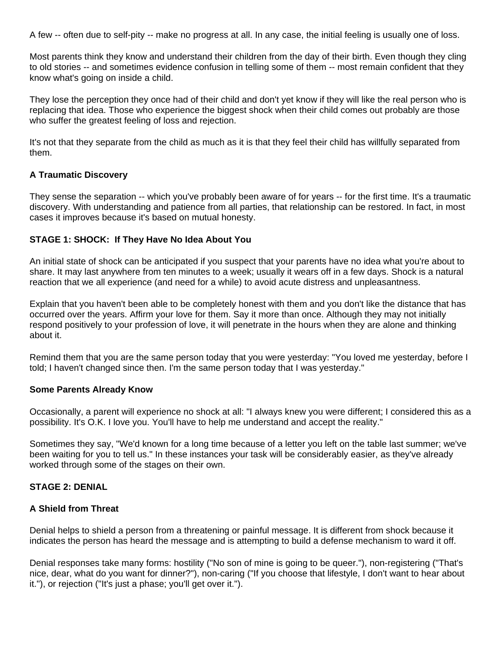A few -- often due to self-pity -- make no progress at all. In any case, the initial feeling is usually one of loss.

Most parents think they know and understand their children from the day of their birth. Even though they cling to old stories -- and sometimes evidence confusion in telling some of them -- most remain confident that they know what's going on inside a child.

They lose the perception they once had of their child and don't yet know if they will like the real person who is replacing that idea. Those who experience the biggest shock when their child comes out probably are those who suffer the greatest feeling of loss and rejection.

It's not that they separate from the child as much as it is that they feel their child has willfully separated from them.

#### **A Traumatic Discovery**

They sense the separation -- which you've probably been aware of for years -- for the first time. It's a traumatic discovery. With understanding and patience from all parties, that relationship can be restored. In fact, in most cases it improves because it's based on mutual honesty.

#### **STAGE 1: SHOCK: If They Have No Idea About You**

An initial state of shock can be anticipated if you suspect that your parents have no idea what you're about to share. It may last anywhere from ten minutes to a week; usually it wears off in a few days. Shock is a natural reaction that we all experience (and need for a while) to avoid acute distress and unpleasantness.

Explain that you haven't been able to be completely honest with them and you don't like the distance that has occurred over the years. Affirm your love for them. Say it more than once. Although they may not initially respond positively to your profession of love, it will penetrate in the hours when they are alone and thinking about it.

Remind them that you are the same person today that you were yesterday: "You loved me yesterday, before I told; I haven't changed since then. I'm the same person today that I was yesterday."

#### **Some Parents Already Know**

Occasionally, a parent will experience no shock at all: "I always knew you were different; I considered this as a possibility. It's O.K. I love you. You'll have to help me understand and accept the reality."

Sometimes they say, "We'd known for a long time because of a letter you left on the table last summer; we've been waiting for you to tell us." In these instances your task will be considerably easier, as they've already worked through some of the stages on their own.

#### **STAGE 2: DENIAL**

#### **A Shield from Threat**

Denial helps to shield a person from a threatening or painful message. It is different from shock because it indicates the person has heard the message and is attempting to build a defense mechanism to ward it off.

Denial responses take many forms: hostility ("No son of mine is going to be queer."), non-registering ("That's nice, dear, what do you want for dinner?"), non-caring ("If you choose that lifestyle, I don't want to hear about it."), or rejection ("It's just a phase; you'll get over it.").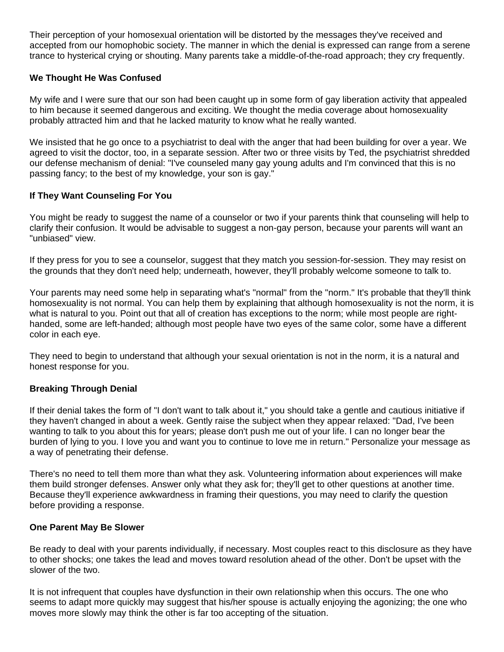Their perception of your homosexual orientation will be distorted by the messages they've received and accepted from our homophobic society. The manner in which the denial is expressed can range from a serene trance to hysterical crying or shouting. Many parents take a middle-of-the-road approach; they cry frequently.

# **We Thought He Was Confused**

My wife and I were sure that our son had been caught up in some form of gay liberation activity that appealed to him because it seemed dangerous and exciting. We thought the media coverage about homosexuality probably attracted him and that he lacked maturity to know what he really wanted.

We insisted that he go once to a psychiatrist to deal with the anger that had been building for over a year. We agreed to visit the doctor, too, in a separate session. After two or three visits by Ted, the psychiatrist shredded our defense mechanism of denial: "I've counseled many gay young adults and I'm convinced that this is no passing fancy; to the best of my knowledge, your son is gay."

# **If They Want Counseling For You**

You might be ready to suggest the name of a counselor or two if your parents think that counseling will help to clarify their confusion. It would be advisable to suggest a non-gay person, because your parents will want an "unbiased" view.

If they press for you to see a counselor, suggest that they match you session-for-session. They may resist on the grounds that they don't need help; underneath, however, they'll probably welcome someone to talk to.

Your parents may need some help in separating what's "normal" from the "norm." It's probable that they'll think homosexuality is not normal. You can help them by explaining that although homosexuality is not the norm, it is what is natural to you. Point out that all of creation has exceptions to the norm; while most people are righthanded, some are left-handed; although most people have two eyes of the same color, some have a different color in each eye.

They need to begin to understand that although your sexual orientation is not in the norm, it is a natural and honest response for you.

# **Breaking Through Denial**

If their denial takes the form of "I don't want to talk about it," you should take a gentle and cautious initiative if they haven't changed in about a week. Gently raise the subject when they appear relaxed: "Dad, I've been wanting to talk to you about this for years; please don't push me out of your life. I can no longer bear the burden of lying to you. I love you and want you to continue to love me in return." Personalize your message as a way of penetrating their defense.

There's no need to tell them more than what they ask. Volunteering information about experiences will make them build stronger defenses. Answer only what they ask for; they'll get to other questions at another time. Because they'll experience awkwardness in framing their questions, you may need to clarify the question before providing a response.

## **One Parent May Be Slower**

Be ready to deal with your parents individually, if necessary. Most couples react to this disclosure as they have to other shocks; one takes the lead and moves toward resolution ahead of the other. Don't be upset with the slower of the two.

It is not infrequent that couples have dysfunction in their own relationship when this occurs. The one who seems to adapt more quickly may suggest that his/her spouse is actually enjoying the agonizing; the one who moves more slowly may think the other is far too accepting of the situation.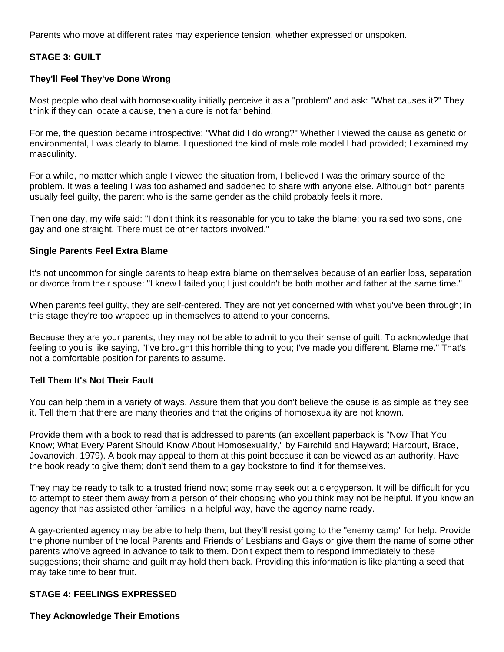Parents who move at different rates may experience tension, whether expressed or unspoken.

# **STAGE 3: GUILT**

#### **They'll Feel They've Done Wrong**

Most people who deal with homosexuality initially perceive it as a "problem" and ask: "What causes it?" They think if they can locate a cause, then a cure is not far behind.

For me, the question became introspective: "What did I do wrong?" Whether I viewed the cause as genetic or environmental, I was clearly to blame. I questioned the kind of male role model I had provided; I examined my masculinity.

For a while, no matter which angle I viewed the situation from, I believed I was the primary source of the problem. It was a feeling I was too ashamed and saddened to share with anyone else. Although both parents usually feel guilty, the parent who is the same gender as the child probably feels it more.

Then one day, my wife said: "I don't think it's reasonable for you to take the blame; you raised two sons, one gay and one straight. There must be other factors involved."

#### **Single Parents Feel Extra Blame**

It's not uncommon for single parents to heap extra blame on themselves because of an earlier loss, separation or divorce from their spouse: "I knew I failed you; I just couldn't be both mother and father at the same time."

When parents feel guilty, they are self-centered. They are not yet concerned with what you've been through; in this stage they're too wrapped up in themselves to attend to your concerns.

Because they are your parents, they may not be able to admit to you their sense of guilt. To acknowledge that feeling to you is like saying, "I've brought this horrible thing to you; I've made you different. Blame me." That's not a comfortable position for parents to assume.

#### **Tell Them It's Not Their Fault**

You can help them in a variety of ways. Assure them that you don't believe the cause is as simple as they see it. Tell them that there are many theories and that the origins of homosexuality are not known.

Provide them with a book to read that is addressed to parents (an excellent paperback is "Now That You Know; What Every Parent Should Know About Homosexuality," by Fairchild and Hayward; Harcourt, Brace, Jovanovich, 1979). A book may appeal to them at this point because it can be viewed as an authority. Have the book ready to give them; don't send them to a gay bookstore to find it for themselves.

They may be ready to talk to a trusted friend now; some may seek out a clergyperson. It will be difficult for you to attempt to steer them away from a person of their choosing who you think may not be helpful. If you know an agency that has assisted other families in a helpful way, have the agency name ready.

A gay-oriented agency may be able to help them, but they'll resist going to the "enemy camp" for help. Provide the phone number of the local Parents and Friends of Lesbians and Gays or give them the name of some other parents who've agreed in advance to talk to them. Don't expect them to respond immediately to these suggestions; their shame and guilt may hold them back. Providing this information is like planting a seed that may take time to bear fruit.

# **STAGE 4: FEELINGS EXPRESSED**

**They Acknowledge Their Emotions**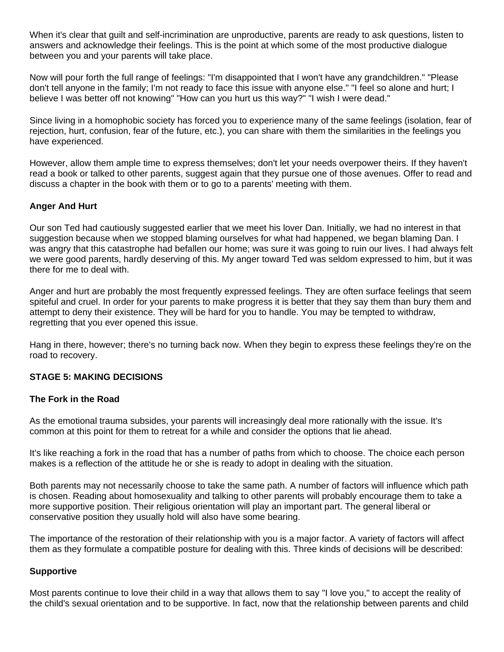When it's clear that guilt and self-incrimination are unproductive, parents are ready to ask questions, listen to answers and acknowledge their feelings. This is the point at which some of the most productive dialogue between you and your parents will take place.

Now will pour forth the full range of feelings: "I'm disappointed that I won't have any grandchildren." "Please don't tell anyone in the family; I'm not ready to face this issue with anyone else." "I feel so alone and hurt; I believe I was better off not knowing" "How can you hurt us this way?" "I wish I were dead."

Since living in a homophobic society has forced you to experience many of the same feelings (isolation, fear of rejection, hurt, confusion, fear of the future, etc.), you can share with them the similarities in the feelings you have experienced.

However, allow them ample time to express themselves; don't let your needs overpower theirs. If they haven't read a book or talked to other parents, suggest again that they pursue one of those avenues. Offer to read and discuss a chapter in the book with them or to go to a parents' meeting with them.

## **Anger And Hurt**

Our son Ted had cautiously suggested earlier that we meet his lover Dan. Initially, we had no interest in that suggestion because when we stopped blaming ourselves for what had happened, we began blaming Dan. I was angry that this catastrophe had befallen our home; was sure it was going to ruin our lives. I had always felt we were good parents, hardly deserving of this. My anger toward Ted was seldom expressed to him, but it was there for me to deal with.

Anger and hurt are probably the most frequently expressed feelings. They are often surface feelings that seem spiteful and cruel. In order for your parents to make progress it is better that they say them than bury them and attempt to deny their existence. They will be hard for you to handle. You may be tempted to withdraw, regretting that you ever opened this issue.

Hang in there, however; there's no turning back now. When they begin to express these feelings they're on the road to recovery.

## **STAGE 5: MAKING DECISIONS**

## **The Fork in the Road**

As the emotional trauma subsides, your parents will increasingly deal more rationally with the issue. It's common at this point for them to retreat for a while and consider the options that lie ahead.

It's like reaching a fork in the road that has a number of paths from which to choose. The choice each person makes is a reflection of the attitude he or she is ready to adopt in dealing with the situation.

Both parents may not necessarily choose to take the same path. A number of factors will influence which path is chosen. Reading about homosexuality and talking to other parents will probably encourage them to take a more supportive position. Their religious orientation will play an important part. The general liberal or conservative position they usually hold will also have some bearing.

The importance of the restoration of their relationship with you is a major factor. A variety of factors will affect them as they formulate a compatible posture for dealing with this. Three kinds of decisions will be described:

## **Supportive**

Most parents continue to love their child in a way that allows them to say "I love you," to accept the reality of the child's sexual orientation and to be supportive. In fact, now that the relationship between parents and child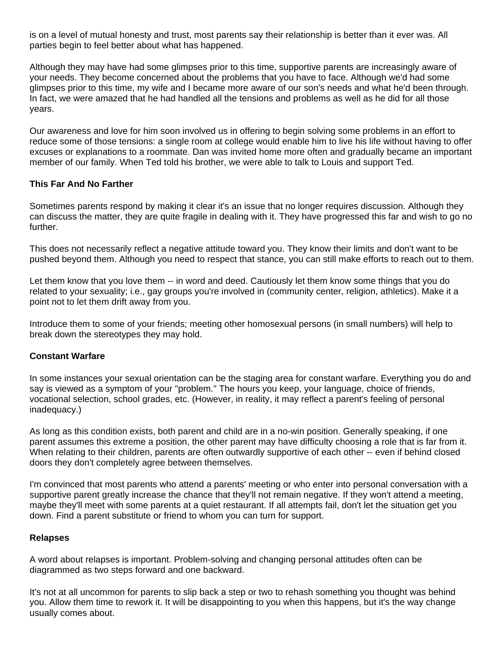is on a level of mutual honesty and trust, most parents say their relationship is better than it ever was. All parties begin to feel better about what has happened.

Although they may have had some glimpses prior to this time, supportive parents are increasingly aware of your needs. They become concerned about the problems that you have to face. Although we'd had some glimpses prior to this time, my wife and I became more aware of our son's needs and what he'd been through. In fact, we were amazed that he had handled all the tensions and problems as well as he did for all those years.

Our awareness and love for him soon involved us in offering to begin solving some problems in an effort to reduce some of those tensions: a single room at college would enable him to live his life without having to offer excuses or explanations to a roommate. Dan was invited home more often and gradually became an important member of our family. When Ted told his brother, we were able to talk to Louis and support Ted.

# **This Far And No Farther**

Sometimes parents respond by making it clear it's an issue that no longer requires discussion. Although they can discuss the matter, they are quite fragile in dealing with it. They have progressed this far and wish to go no further.

This does not necessarily reflect a negative attitude toward you. They know their limits and don't want to be pushed beyond them. Although you need to respect that stance, you can still make efforts to reach out to them.

Let them know that you love them -- in word and deed. Cautiously let them know some things that you do related to your sexuality; i.e., gay groups you're involved in (community center, religion, athletics). Make it a point not to let them drift away from you.

Introduce them to some of your friends; meeting other homosexual persons (in small numbers) will help to break down the stereotypes they may hold.

#### **Constant Warfare**

In some instances your sexual orientation can be the staging area for constant warfare. Everything you do and say is viewed as a symptom of your "problem." The hours you keep, your language, choice of friends, vocational selection, school grades, etc. (However, in reality, it may reflect a parent's feeling of personal inadequacy.)

As long as this condition exists, both parent and child are in a no-win position. Generally speaking, if one parent assumes this extreme a position, the other parent may have difficulty choosing a role that is far from it. When relating to their children, parents are often outwardly supportive of each other -- even if behind closed doors they don't completely agree between themselves.

I'm convinced that most parents who attend a parents' meeting or who enter into personal conversation with a supportive parent greatly increase the chance that they'll not remain negative. If they won't attend a meeting, maybe they'll meet with some parents at a quiet restaurant. If all attempts fail, don't let the situation get you down. Find a parent substitute or friend to whom you can turn for support.

#### **Relapses**

A word about relapses is important. Problem-solving and changing personal attitudes often can be diagrammed as two steps forward and one backward.

It's not at all uncommon for parents to slip back a step or two to rehash something you thought was behind you. Allow them time to rework it. It will be disappointing to you when this happens, but it's the way change usually comes about.